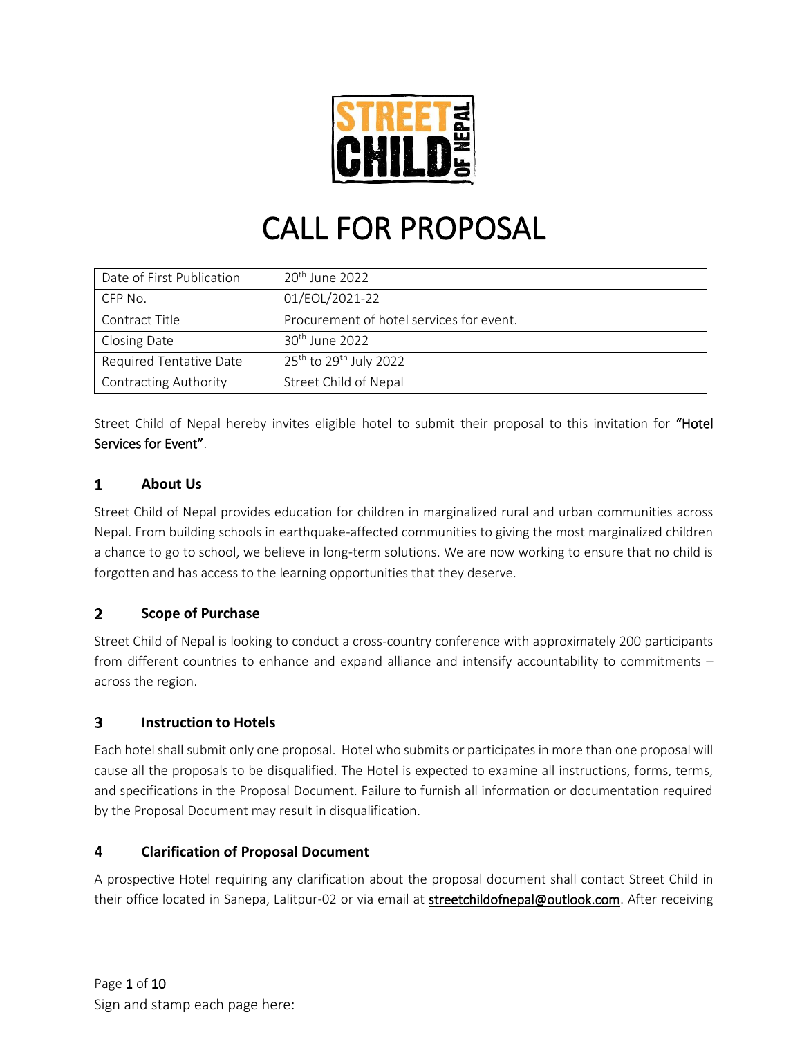

# CALL FOR PROPOSAL

| Date of First Publication    | $20th$ June 2022                               |
|------------------------------|------------------------------------------------|
| CFP No.                      | 01/EOL/2021-22                                 |
| Contract Title               | Procurement of hotel services for event.       |
| Closing Date                 | $30th$ June 2022                               |
| Required Tentative Date      | 25 <sup>th</sup> to 29 <sup>th</sup> July 2022 |
| <b>Contracting Authority</b> | <b>Street Child of Nepal</b>                   |

Street Child of Nepal hereby invites eligible hotel to submit their proposal to this invitation for "Hotel Services for Event".

### $\mathbf{1}$ **About Us**

Street Child of Nepal provides education for children in marginalized rural and urban communities across Nepal. From building schools in earthquake-affected communities to giving the most marginalized children a chance to go to school, we believe in long-term solutions. We are now working to ensure that no child is forgotten and has access to the learning opportunities that they deserve.

### $\overline{2}$ **Scope of Purchase**

Street Child of Nepal is looking to conduct a cross-country conference with approximately 200 participants from different countries to enhance and expand alliance and intensify accountability to commitments – across the region.

### $\overline{\mathbf{3}}$ **Instruction to Hotels**

Each hotel shall submit only one proposal. Hotel who submits or participates in more than one proposal will cause all the proposals to be disqualified. The Hotel is expected to examine all instructions, forms, terms, and specifications in the Proposal Document. Failure to furnish all information or documentation required by the Proposal Document may result in disqualification.

### 4 **Clarification of Proposal Document**

A prospective Hotel requiring any clarification about the proposal document shall contact Street Child in their office located in Sanepa, Lalitpur-02 or via email at **streetchildofnepal@outlook.com**. After receiving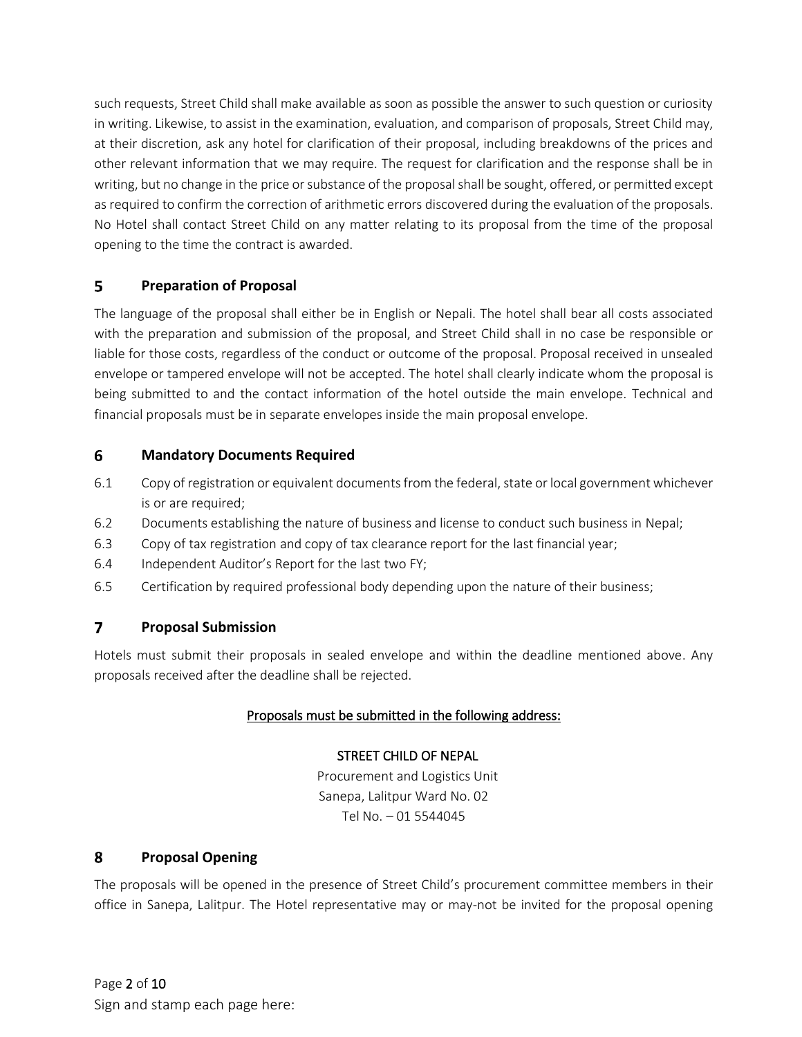such requests, Street Child shall make available as soon as possible the answer to such question or curiosity in writing. Likewise, to assist in the examination, evaluation, and comparison of proposals, Street Child may, at their discretion, ask any hotel for clarification of their proposal, including breakdowns of the prices and other relevant information that we may require. The request for clarification and the response shall be in writing, but no change in the price or substance of the proposalshall be sought, offered, or permitted except as required to confirm the correction of arithmetic errors discovered during the evaluation of the proposals. No Hotel shall contact Street Child on any matter relating to its proposal from the time of the proposal opening to the time the contract is awarded.

### $5<sup>1</sup>$ **Preparation of Proposal**

The language of the proposal shall either be in English or Nepali. The hotel shall bear all costs associated with the preparation and submission of the proposal, and Street Child shall in no case be responsible or liable for those costs, regardless of the conduct or outcome of the proposal. Proposal received in unsealed envelope or tampered envelope will not be accepted. The hotel shall clearly indicate whom the proposal is being submitted to and the contact information of the hotel outside the main envelope. Technical and financial proposals must be in separate envelopes inside the main proposal envelope.

### 6 **Mandatory Documents Required**

- 6.1 Copy of registration or equivalent documents from the federal, state or local government whichever is or are required;
- 6.2 Documents establishing the nature of business and license to conduct such business in Nepal;
- 6.3 Copy of tax registration and copy of tax clearance report for the last financial year;
- 6.4 Independent Auditor's Report for the last two FY;
- 6.5 Certification by required professional body depending upon the nature of their business;

### $\overline{7}$ **Proposal Submission**

Hotels must submit their proposals in sealed envelope and within the deadline mentioned above. Any proposals received after the deadline shall be rejected.

## Proposals must be submitted in the following address:

## STREET CHILD OF NEPAL

Procurement and Logistics Unit Sanepa, Lalitpur Ward No. 02 Tel No. – 01 5544045

### 8 **Proposal Opening**

The proposals will be opened in the presence of Street Child's procurement committee members in their office in Sanepa, Lalitpur. The Hotel representative may or may-not be invited for the proposal opening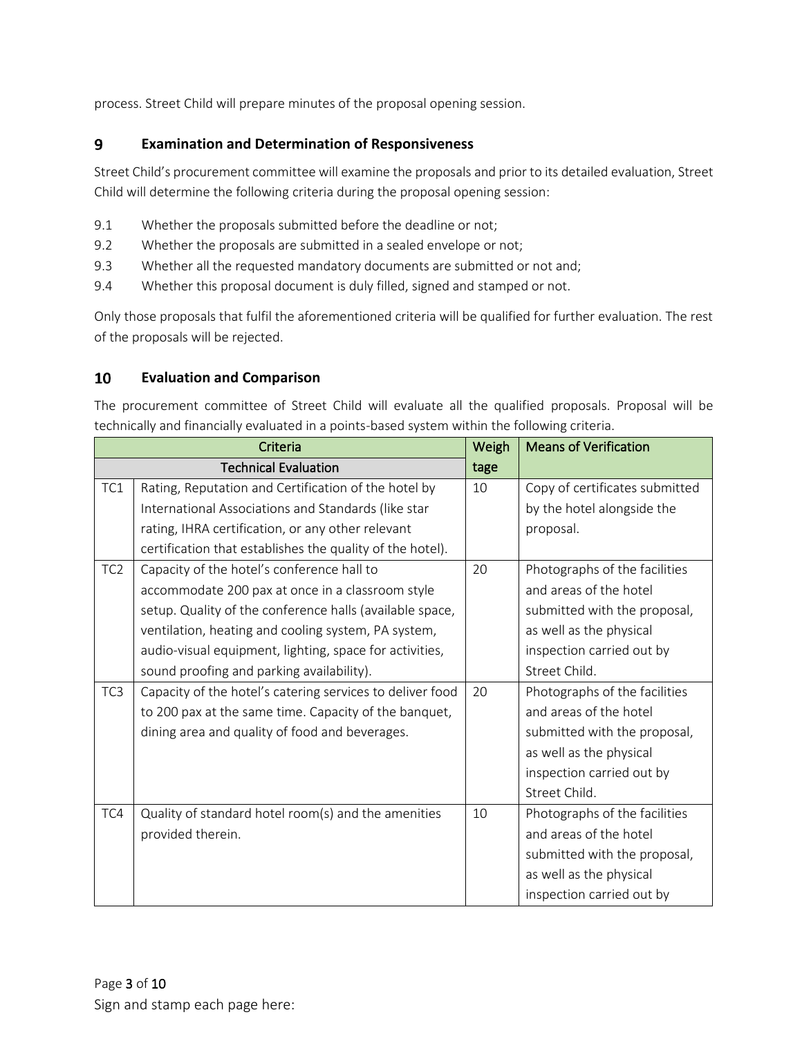process. Street Child will prepare minutes of the proposal opening session.

#### 9 **Examination and Determination of Responsiveness**

Street Child's procurement committee will examine the proposals and prior to its detailed evaluation, Street Child will determine the following criteria during the proposal opening session:

- 9.1 Whether the proposals submitted before the deadline or not;
- 9.2 Whether the proposals are submitted in a sealed envelope or not;
- 9.3 Whether all the requested mandatory documents are submitted or not and;
- 9.4 Whether this proposal document is duly filled, signed and stamped or not.

Only those proposals that fulfil the aforementioned criteria will be qualified for further evaluation. The rest of the proposals will be rejected.

### 10 **Evaluation and Comparison**

The procurement committee of Street Child will evaluate all the qualified proposals. Proposal will be technically and financially evaluated in a points-based system within the following criteria.

|                 | Criteria                                                  | Weigh | <b>Means of Verification</b>   |
|-----------------|-----------------------------------------------------------|-------|--------------------------------|
|                 | <b>Technical Evaluation</b>                               | tage  |                                |
| TC1             | Rating, Reputation and Certification of the hotel by      | 10    | Copy of certificates submitted |
|                 | International Associations and Standards (like star       |       | by the hotel alongside the     |
|                 | rating, IHRA certification, or any other relevant         |       | proposal.                      |
|                 | certification that establishes the quality of the hotel). |       |                                |
| TC <sub>2</sub> | Capacity of the hotel's conference hall to                | 20    | Photographs of the facilities  |
|                 | accommodate 200 pax at once in a classroom style          |       | and areas of the hotel         |
|                 | setup. Quality of the conference halls (available space,  |       | submitted with the proposal,   |
|                 | ventilation, heating and cooling system, PA system,       |       | as well as the physical        |
|                 | audio-visual equipment, lighting, space for activities,   |       | inspection carried out by      |
|                 | sound proofing and parking availability).                 |       | Street Child.                  |
| TC <sub>3</sub> | Capacity of the hotel's catering services to deliver food | 20    | Photographs of the facilities  |
|                 | to 200 pax at the same time. Capacity of the banquet,     |       | and areas of the hotel         |
|                 | dining area and quality of food and beverages.            |       | submitted with the proposal,   |
|                 |                                                           |       | as well as the physical        |
|                 |                                                           |       | inspection carried out by      |
|                 |                                                           |       | Street Child.                  |
| TC4             | Quality of standard hotel room(s) and the amenities       | 10    | Photographs of the facilities  |
|                 | provided therein.                                         |       | and areas of the hotel         |
|                 |                                                           |       | submitted with the proposal,   |
|                 |                                                           |       | as well as the physical        |
|                 |                                                           |       | inspection carried out by      |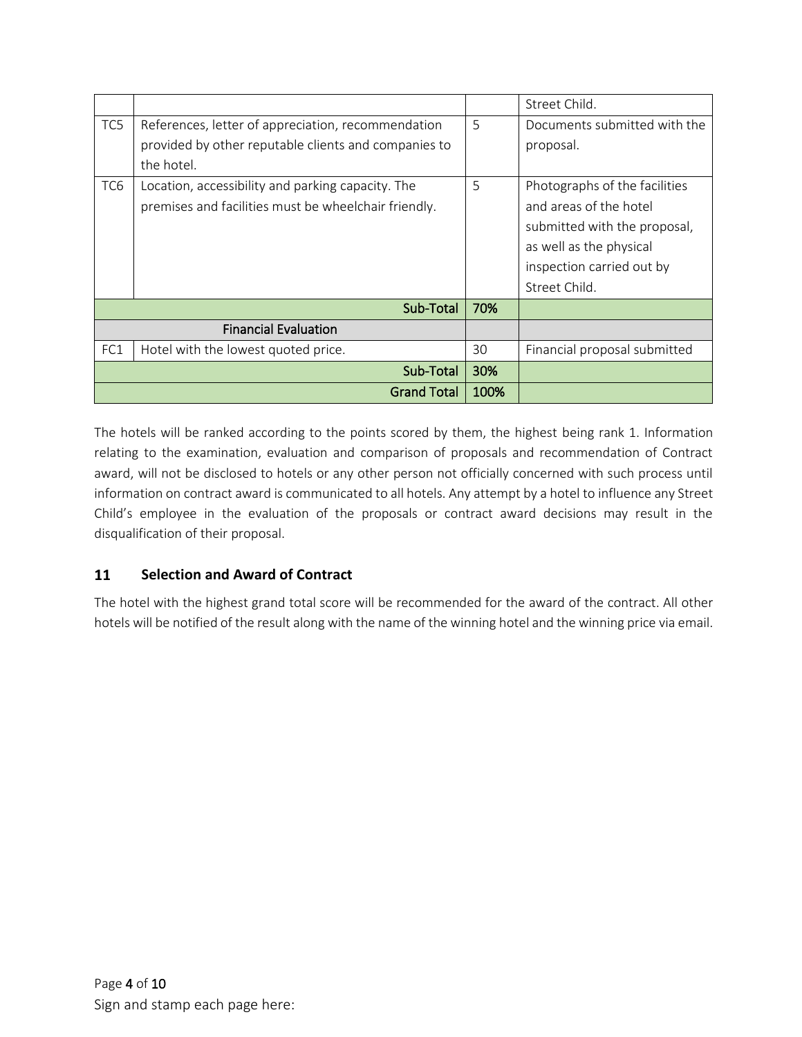|                 |                                                      |      | Street Child.                 |
|-----------------|------------------------------------------------------|------|-------------------------------|
| TC5             | References, letter of appreciation, recommendation   | 5    | Documents submitted with the  |
|                 | provided by other reputable clients and companies to |      | proposal.                     |
|                 | the hotel.                                           |      |                               |
| TC <sub>6</sub> | Location, accessibility and parking capacity. The    | 5    | Photographs of the facilities |
|                 | premises and facilities must be wheelchair friendly. |      | and areas of the hotel        |
|                 |                                                      |      | submitted with the proposal,  |
|                 |                                                      |      | as well as the physical       |
|                 |                                                      |      | inspection carried out by     |
|                 |                                                      |      | Street Child.                 |
|                 | Sub-Total                                            | 70%  |                               |
|                 | <b>Financial Evaluation</b>                          |      |                               |
| FC1             | Hotel with the lowest quoted price.                  | 30   | Financial proposal submitted  |
|                 | Sub-Total                                            | 30%  |                               |
|                 | <b>Grand Total</b>                                   | 100% |                               |

The hotels will be ranked according to the points scored by them, the highest being rank 1. Information relating to the examination, evaluation and comparison of proposals and recommendation of Contract award, will not be disclosed to hotels or any other person not officially concerned with such process until information on contract award is communicated to all hotels. Any attempt by a hotel to influence any Street Child's employee in the evaluation of the proposals or contract award decisions may result in the disqualification of their proposal.

### **Selection and Award of Contract** 11

The hotel with the highest grand total score will be recommended for the award of the contract. All other hotels will be notified of the result along with the name of the winning hotel and the winning price via email.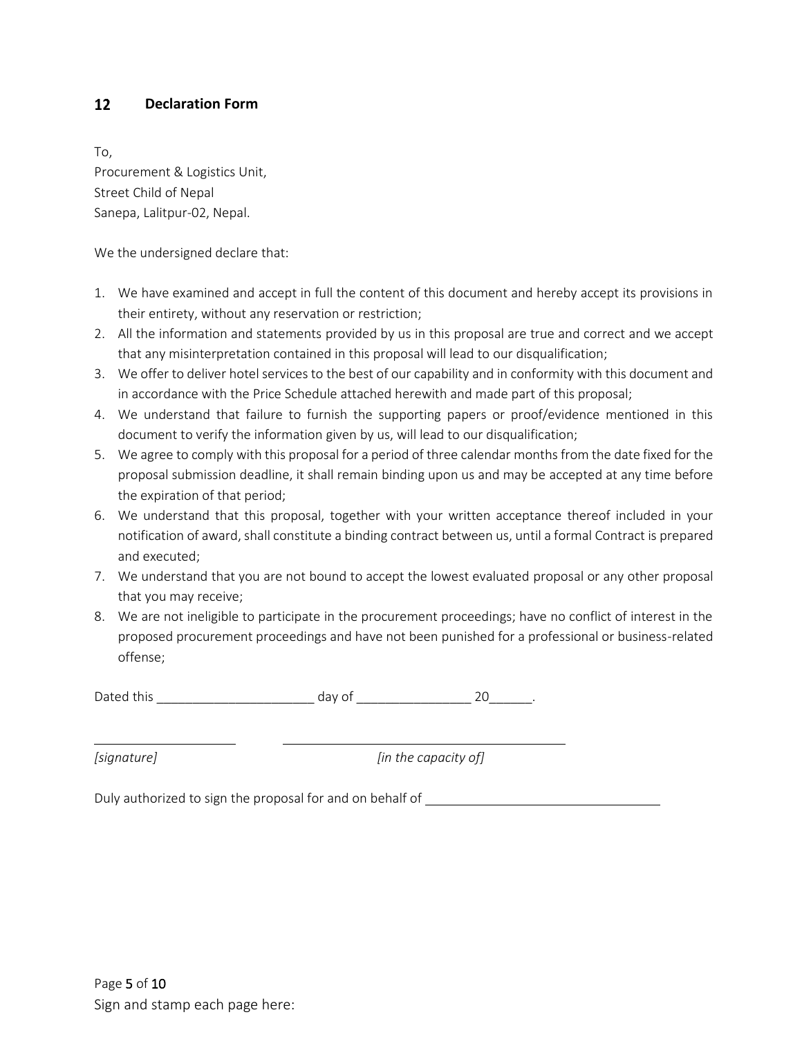#### $12<sup>7</sup>$ **Declaration Form**

To,

Procurement & Logistics Unit, Street Child of Nepal Sanepa, Lalitpur-02, Nepal.

We the undersigned declare that:

- 1. We have examined and accept in full the content of this document and hereby accept its provisions in their entirety, without any reservation or restriction;
- 2. All the information and statements provided by us in this proposal are true and correct and we accept that any misinterpretation contained in this proposal will lead to our disqualification;
- 3. We offer to deliver hotel services to the best of our capability and in conformity with this document and in accordance with the Price Schedule attached herewith and made part of this proposal;
- 4. We understand that failure to furnish the supporting papers or proof/evidence mentioned in this document to verify the information given by us, will lead to our disqualification;
- 5. We agree to comply with this proposal for a period of three calendar months from the date fixed for the proposal submission deadline, it shall remain binding upon us and may be accepted at any time before the expiration of that period;
- 6. We understand that this proposal, together with your written acceptance thereof included in your notification of award, shall constitute a binding contract between us, until a formal Contract is prepared and executed;
- 7. We understand that you are not bound to accept the lowest evaluated proposal or any other proposal that you may receive;
- 8. We are not ineligible to participate in the procurement proceedings; have no conflict of interest in the proposed procurement proceedings and have not been punished for a professional or business-related offense;

Dated this example and the day of the control 20 and 20 and 20 and 20 and 20 and 20

*[signature] [in the capacity of]*

Duly authorized to sign the proposal for and on behalf of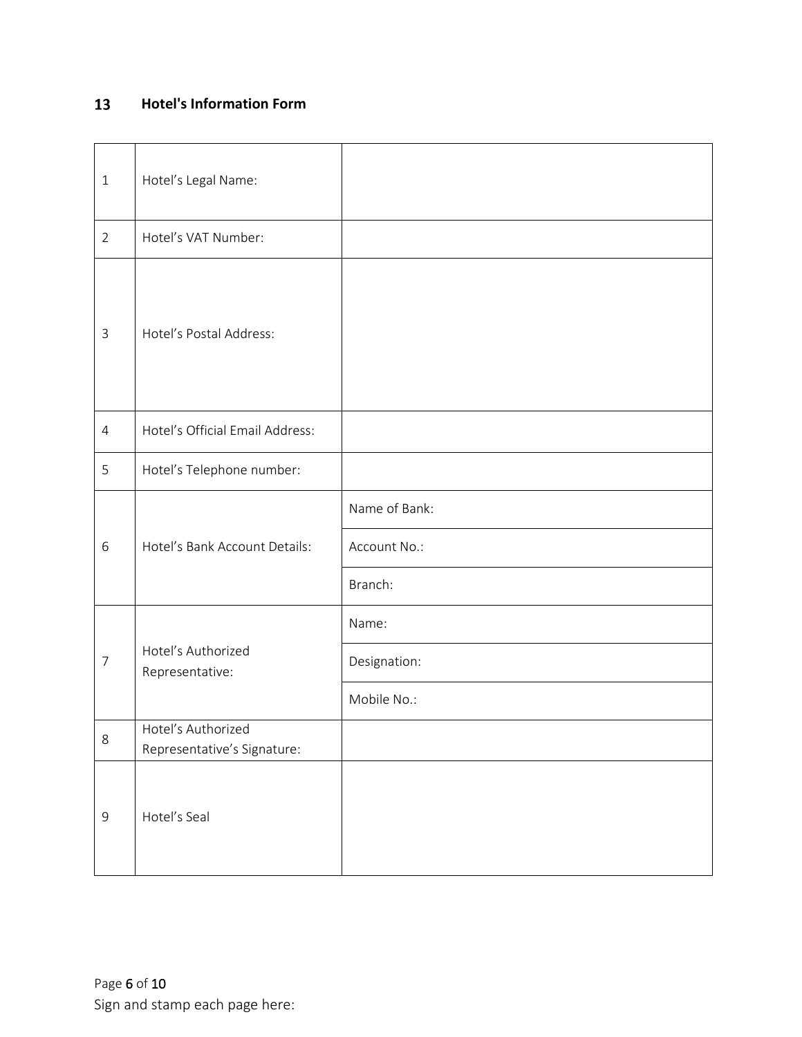### $13$ **Hotel's Information Form**

| $\mathbf{1}$   | Hotel's Legal Name:                               |               |
|----------------|---------------------------------------------------|---------------|
| $\overline{2}$ | Hotel's VAT Number:                               |               |
| $\mathfrak{Z}$ | Hotel's Postal Address:                           |               |
| $\overline{4}$ | Hotel's Official Email Address:                   |               |
| 5              | Hotel's Telephone number:                         |               |
|                | Hotel's Bank Account Details:                     | Name of Bank: |
| 6              |                                                   | Account No.:  |
|                |                                                   | Branch:       |
|                |                                                   | Name:         |
| $\overline{7}$ | Hotel's Authorized<br>Representative:             | Designation:  |
|                |                                                   | Mobile No.:   |
| $\,8\,$        | Hotel's Authorized<br>Representative's Signature: |               |
| $\mathsf 9$    | Hotel's Seal                                      |               |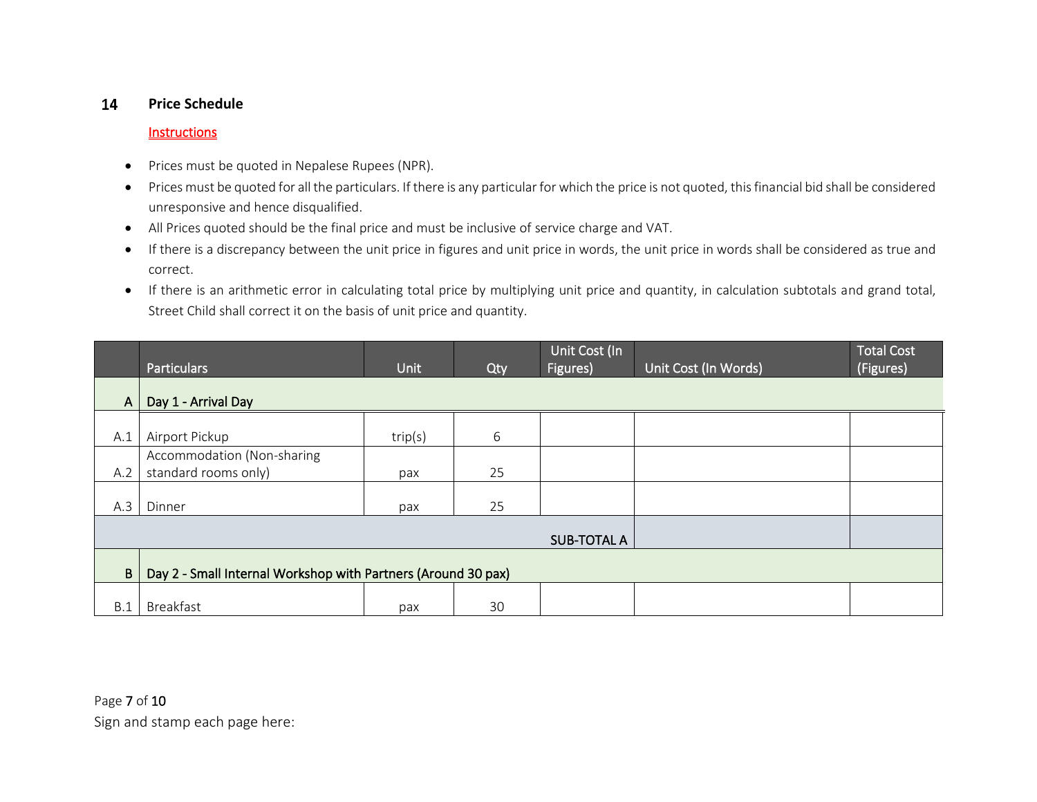#### 14 **Price Schedule**

### **Instructions**

- Prices must be quoted in Nepalese Rupees (NPR).
- Prices must be quoted for all the particulars. If there is any particular for which the price is not quoted, this financial bid shall be considered unresponsive and hence disqualified.
- All Prices quoted should be the final price and must be inclusive of service charge and VAT.
- If there is a discrepancy between the unit price in figures and unit price in words, the unit price in words shall be considered as true and correct.
- If there is an arithmetic error in calculating total price by multiplying unit price and quantity, in calculation subtotals and grand total, Street Child shall correct it on the basis of unit price and quantity.

|              | <b>Particulars</b>                                            | Unit    | <b>Qty</b> | Unit Cost <u>(In '</u><br>Figures) | Unit Cost (In Words) | <b>Total Cost</b><br>(Figures) |
|--------------|---------------------------------------------------------------|---------|------------|------------------------------------|----------------------|--------------------------------|
| $\mathsf{A}$ | Day 1 - Arrival Day                                           |         |            |                                    |                      |                                |
| A.1          | Airport Pickup                                                | trip(s) | 6          |                                    |                      |                                |
| A.2          | Accommodation (Non-sharing<br>standard rooms only)            | pax     | 25         |                                    |                      |                                |
| A.3          | Dinner                                                        | pax     | 25         |                                    |                      |                                |
|              |                                                               |         |            | <b>SUB-TOTAL A</b>                 |                      |                                |
| B            | Day 2 - Small Internal Workshop with Partners (Around 30 pax) |         |            |                                    |                      |                                |
| B.1          | <b>Breakfast</b>                                              | pax     | 30         |                                    |                      |                                |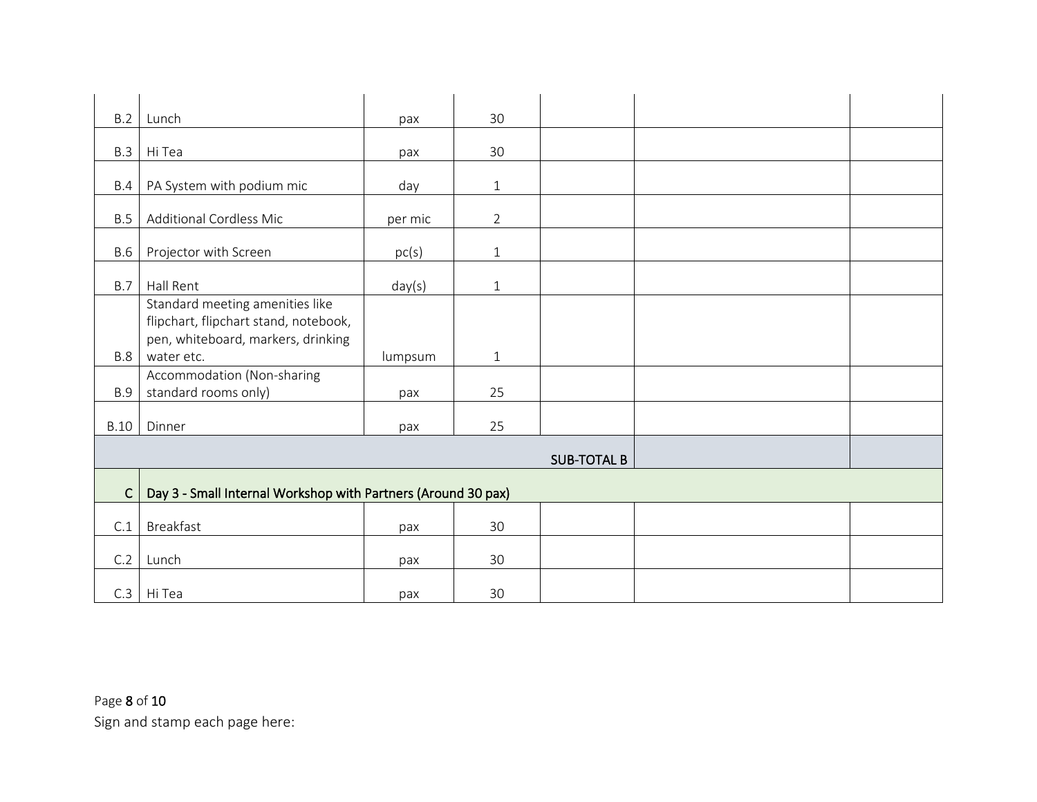| B.2         | Lunch                                                                                                                        | pax     | 30             |                    |  |
|-------------|------------------------------------------------------------------------------------------------------------------------------|---------|----------------|--------------------|--|
| <b>B.3</b>  | Hi Tea                                                                                                                       | pax     | 30             |                    |  |
| B.4         | PA System with podium mic                                                                                                    | day     | $\mathbf{1}$   |                    |  |
| B.5         | <b>Additional Cordless Mic</b>                                                                                               | per mic | $\overline{2}$ |                    |  |
| <b>B.6</b>  | Projector with Screen                                                                                                        | pc(s)   | $\mathbf{1}$   |                    |  |
|             |                                                                                                                              |         |                |                    |  |
| <b>B.7</b>  | Hall Rent                                                                                                                    | day(s)  | $\mathbf{1}$   |                    |  |
| <b>B.8</b>  | Standard meeting amenities like<br>flipchart, flipchart stand, notebook,<br>pen, whiteboard, markers, drinking<br>water etc. | lumpsum | $\mathbf{1}$   |                    |  |
|             | Accommodation (Non-sharing                                                                                                   |         |                |                    |  |
| <b>B.9</b>  | standard rooms only)                                                                                                         | pax     | 25             |                    |  |
| <b>B.10</b> | Dinner                                                                                                                       | pax     | 25             |                    |  |
|             |                                                                                                                              |         |                | <b>SUB-TOTAL B</b> |  |
| $\mathsf C$ |                                                                                                                              |         |                |                    |  |
|             | Day 3 - Small Internal Workshop with Partners (Around 30 pax)                                                                |         |                |                    |  |
| C.1         | Breakfast                                                                                                                    | pax     | 30             |                    |  |
| C.2         | Lunch                                                                                                                        | pax     | 30             |                    |  |
| C.3         | Hi Tea                                                                                                                       | pax     | 30             |                    |  |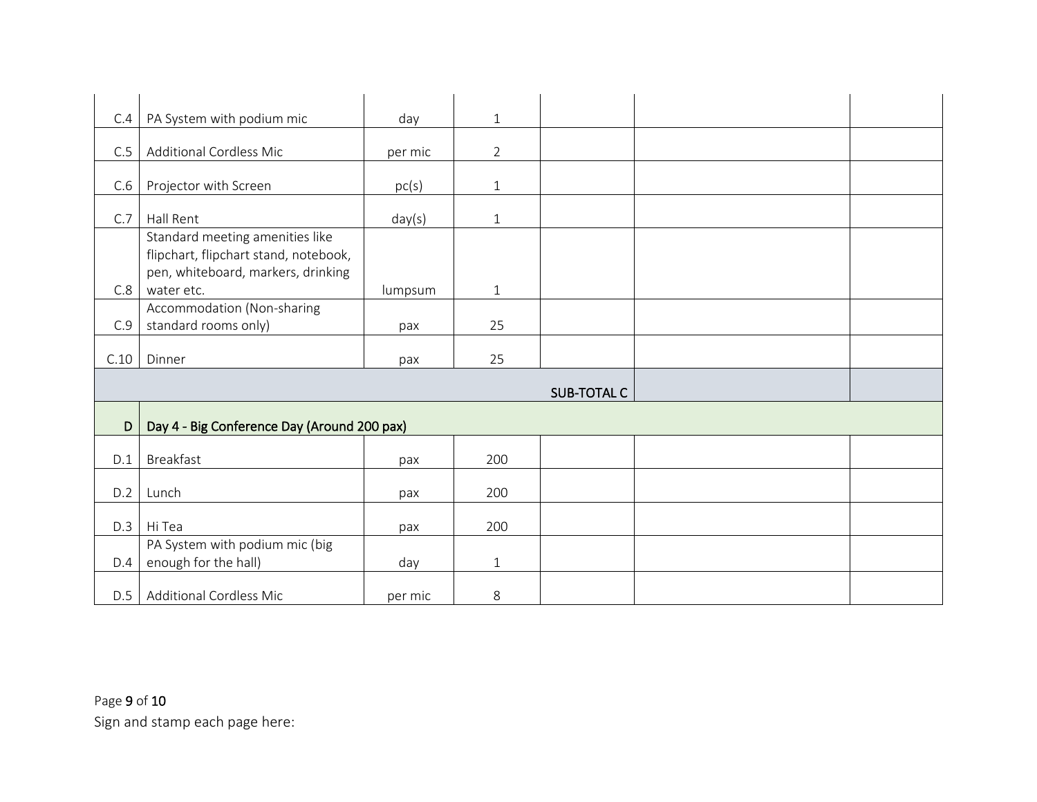| C.4  | PA System with podium mic                   | day     | $\mathbf{1}$   |                    |  |
|------|---------------------------------------------|---------|----------------|--------------------|--|
|      |                                             |         |                |                    |  |
| C.5  | <b>Additional Cordless Mic</b>              | per mic | $\overline{2}$ |                    |  |
| C.6  |                                             |         |                |                    |  |
|      | Projector with Screen                       | pc(s)   | $\mathbf{1}$   |                    |  |
| C.7  | Hall Rent                                   | day(s)  | $\mathbf{1}$   |                    |  |
|      | Standard meeting amenities like             |         |                |                    |  |
|      | flipchart, flipchart stand, notebook,       |         |                |                    |  |
|      | pen, whiteboard, markers, drinking          |         |                |                    |  |
| C.8  | water etc.                                  | lumpsum | $\mathbf{1}$   |                    |  |
|      | Accommodation (Non-sharing                  |         |                |                    |  |
| C.9  | standard rooms only)                        | pax     | 25             |                    |  |
| C.10 | Dinner                                      | pax     | 25             |                    |  |
|      |                                             |         |                |                    |  |
|      |                                             |         |                | <b>SUB-TOTAL C</b> |  |
| D    | Day 4 - Big Conference Day (Around 200 pax) |         |                |                    |  |
|      |                                             |         |                |                    |  |
| D.1  | Breakfast                                   | pax     | 200            |                    |  |
|      |                                             |         |                |                    |  |
| D.2  | Lunch                                       | pax     | 200            |                    |  |
| D.3  | Hi Tea                                      | pax     | 200            |                    |  |
|      | PA System with podium mic (big              |         |                |                    |  |
| D.4  | enough for the hall)                        | day     | $\mathbf{1}$   |                    |  |
|      |                                             |         |                |                    |  |
| D.5  | <b>Additional Cordless Mic</b>              | per mic | 8              |                    |  |